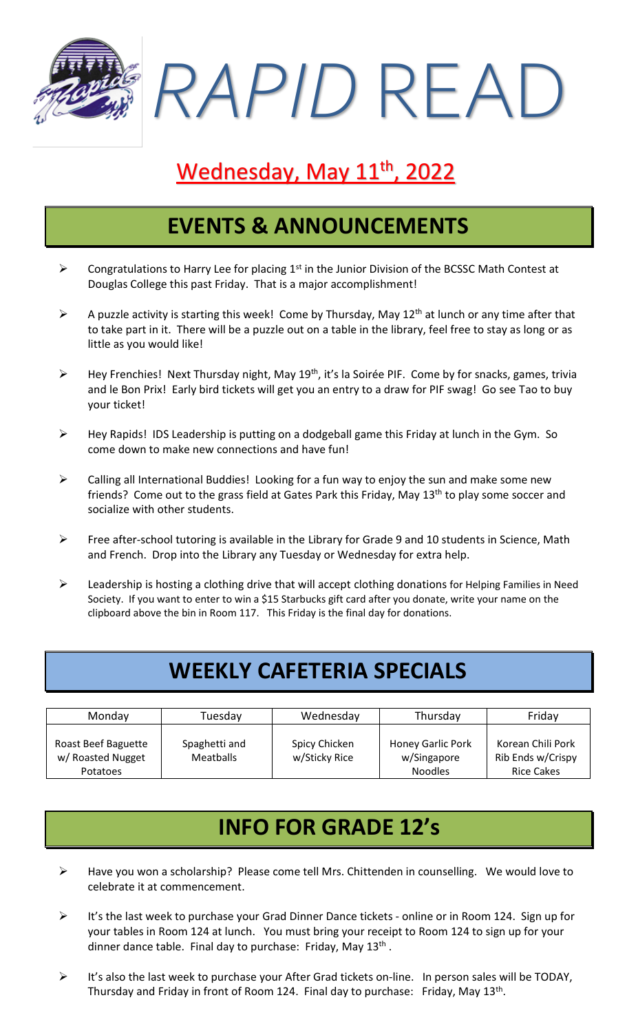*RAPID* READ

# Wednesday, May 11<sup>th</sup>, 2022

### **EVENTS & ANNOUNCEMENTS**

- $\triangleright$  Congratulations to Harry Lee for placing 1<sup>st</sup> in the Junior Division of the BCSSC Math Contest at Douglas College this past Friday. That is a major accomplishment!
- $\triangleright$  A puzzle activity is starting this week! Come by Thursday, May 12<sup>th</sup> at lunch or any time after that to take part in it. There will be a puzzle out on a table in the library, feel free to stay as long or as little as you would like!
- > Hey Frenchies! Next Thursday night, May 19<sup>th</sup>, it's la Soirée PIF. Come by for snacks, games, trivia and le Bon Prix! Early bird tickets will get you an entry to a draw for PIF swag! Go see Tao to buy your ticket!
- ➢ Hey Rapids! IDS Leadership is putting on a dodgeball game this Friday at lunch in the Gym. So come down to make new connections and have fun!
- $\triangleright$  Calling all International Buddies! Looking for a fun way to enjoy the sun and make some new friends? Come out to the grass field at Gates Park this Friday, May 13<sup>th</sup> to play some soccer and socialize with other students.
- ➢ Free after-school tutoring is available in the Library for Grade 9 and 10 students in Science, Math and French. Drop into the Library any Tuesday or Wednesday for extra help.
- ➢ Leadership is hosting a clothing drive that will accept clothing donations for Helping Families in Need Society. If you want to enter to win a \$15 Starbucks gift card after you donate, write your name on the clipboard above the bin in Room 117. This Friday is the final day for donations.

# **WEEKLY CAFETERIA SPECIALS**

| Monday                                                      | Tuesdav                    | Wednesday                      | Thursday                                                  | Friday                                                      |
|-------------------------------------------------------------|----------------------------|--------------------------------|-----------------------------------------------------------|-------------------------------------------------------------|
| Roast Beef Baguette<br>w/ Roasted Nugget<br><b>Potatoes</b> | Spaghetti and<br>Meatballs | Spicy Chicken<br>w/Sticky Rice | <b>Honey Garlic Pork</b><br>w/Singapore<br><b>Noodles</b> | Korean Chili Pork<br>Rib Ends w/Crispy<br><b>Rice Cakes</b> |

## **INFO FOR GRADE 12's**

- ➢ Have you won a scholarship? Please come tell Mrs. Chittenden in counselling. We would love to celebrate it at commencement.
- ➢ It's the last week to purchase your Grad Dinner Dance tickets online or in Room 124. Sign up for your tables in Room 124 at lunch. You must bring your receipt to Room 124 to sign up for your dinner dance table. Final day to purchase: Friday, May 13<sup>th</sup>.
- ➢ It's also the last week to purchase your After Grad tickets on-line. In person sales will be TODAY, Thursday and Friday in front of Room 124. Final day to purchase: Friday, May 13<sup>th</sup>.